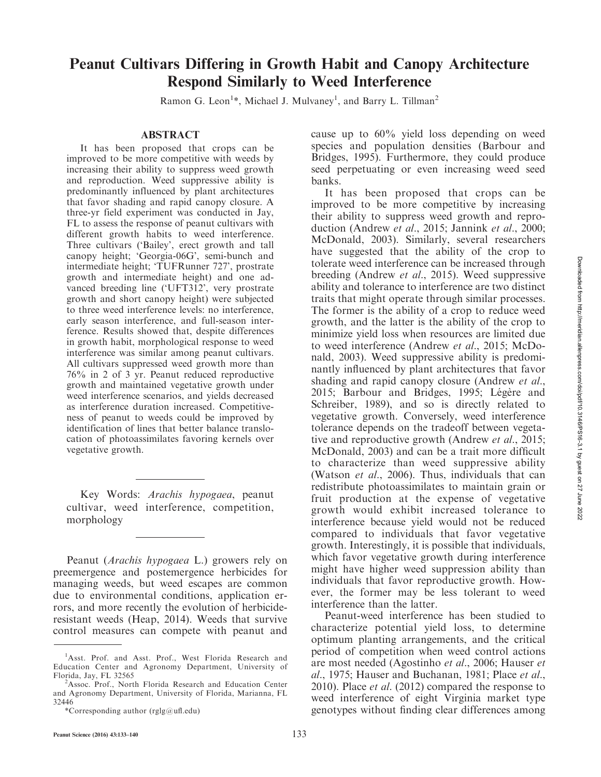# Peanut Cultivars Differing in Growth Habit and Canopy Architecture Respond Similarly to Weed Interference

Ramon G. Leon<sup>1\*</sup>, Michael J. Mulvaney<sup>1</sup>, and Barry L. Tillman<sup>2</sup>

#### ABSTRACT

It has been proposed that crops can be improved to be more competitive with weeds by increasing their ability to suppress weed growth and reproduction. Weed suppressive ability is predominantly influenced by plant architectures that favor shading and rapid canopy closure. A three-yr field experiment was conducted in Jay, FL to assess the response of peanut cultivars with different growth habits to weed interference. Three cultivars ('Bailey', erect growth and tall canopy height; 'Georgia-06G', semi-bunch and intermediate height; 'TUFRunner 727', prostrate growth and intermediate height) and one advanced breeding line ('UFT312', very prostrate growth and short canopy height) were subjected to three weed interference levels: no interference, early season interference, and full-season interference. Results showed that, despite differences in growth habit, morphological response to weed interference was similar among peanut cultivars. All cultivars suppressed weed growth more than 76% in 2 of 3 yr. Peanut reduced reproductive growth and maintained vegetative growth under weed interference scenarios, and yields decreased as interference duration increased. Competitiveness of peanut to weeds could be improved by identification of lines that better balance translocation of photoassimilates favoring kernels over vegetative growth.

Key Words: Arachis hypogaea, peanut cultivar, weed interference, competition, morphology

Peanut (Arachis hypogaea L.) growers rely on preemergence and postemergence herbicides for managing weeds, but weed escapes are common due to environmental conditions, application errors, and more recently the evolution of herbicideresistant weeds (Heap, 2014). Weeds that survive control measures can compete with peanut and cause up to 60% yield loss depending on weed species and population densities (Barbour and Bridges, 1995). Furthermore, they could produce seed perpetuating or even increasing weed seed banks.

It has been proposed that crops can be improved to be more competitive by increasing their ability to suppress weed growth and reproduction (Andrew et al., 2015; Jannink et al., 2000; McDonald, 2003). Similarly, several researchers have suggested that the ability of the crop to tolerate weed interference can be increased through breeding (Andrew et al., 2015). Weed suppressive ability and tolerance to interference are two distinct traits that might operate through similar processes. The former is the ability of a crop to reduce weed growth, and the latter is the ability of the crop to minimize yield loss when resources are limited due to weed interference (Andrew et al., 2015; McDonald, 2003). Weed suppressive ability is predominantly influenced by plant architectures that favor shading and rapid canopy closure (Andrew *et al.*, 2015; Barbour and Bridges, 1995; Légère and Schreiber, 1989), and so is directly related to vegetative growth. Conversely, weed interference tolerance depends on the tradeoff between vegetative and reproductive growth (Andrew *et al.*, 2015; McDonald, 2003) and can be a trait more difficult to characterize than weed suppressive ability (Watson et al., 2006). Thus, individuals that can redistribute photoassimilates to maintain grain or fruit production at the expense of vegetative growth would exhibit increased tolerance to interference because yield would not be reduced compared to individuals that favor vegetative growth. Interestingly, it is possible that individuals, which favor vegetative growth during interference might have higher weed suppression ability than individuals that favor reproductive growth. However, the former may be less tolerant to weed interference than the latter.

Peanut-weed interference has been studied to characterize potential yield loss, to determine optimum planting arrangements, and the critical period of competition when weed control actions are most needed (Agostinho et al., 2006; Hauser et al., 1975; Hauser and Buchanan, 1981; Place et al., 2010). Place et al. (2012) compared the response to weed interference of eight Virginia market type genotypes without finding clear differences among

<sup>&</sup>lt;sup>1</sup>Asst. Prof. and Asst. Prof., West Florida Research and Education Center and Agronomy Department, University of Florida, Jay, FL 32565 <sup>2</sup>

<sup>&</sup>lt;sup>2</sup>Assoc. Prof., North Florida Research and Education Center and Agronomy Department, University of Florida, Marianna, FL 32446

<sup>\*</sup>Corresponding author (rglg@ufl.edu)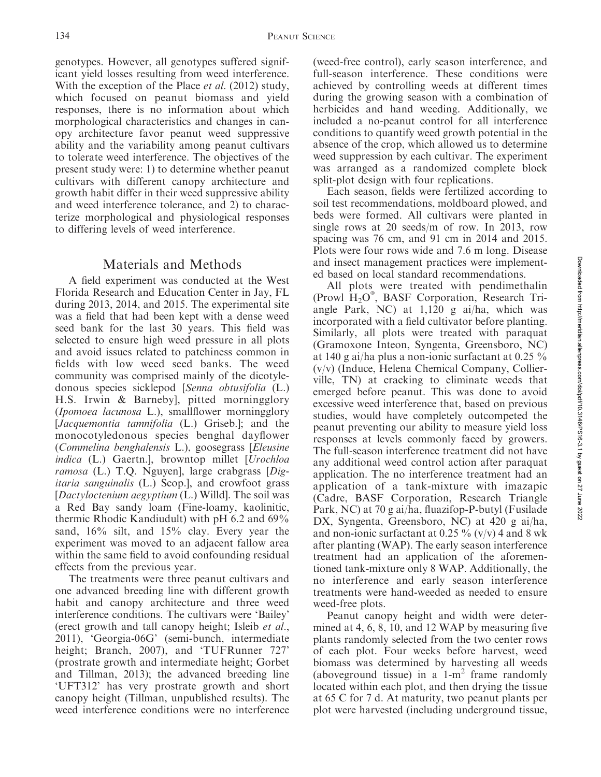genotypes. However, all genotypes suffered significant yield losses resulting from weed interference. With the exception of the Place *et al.* (2012) study, which focused on peanut biomass and yield responses, there is no information about which morphological characteristics and changes in canopy architecture favor peanut weed suppressive ability and the variability among peanut cultivars to tolerate weed interference. The objectives of the present study were: 1) to determine whether peanut cultivars with different canopy architecture and growth habit differ in their weed suppressive ability and weed interference tolerance, and 2) to characterize morphological and physiological responses to differing levels of weed interference.

## Materials and Methods

A field experiment was conducted at the West Florida Research and Education Center in Jay, FL during 2013, 2014, and 2015. The experimental site was a field that had been kept with a dense weed seed bank for the last 30 years. This field was selected to ensure high weed pressure in all plots and avoid issues related to patchiness common in fields with low weed seed banks. The weed community was comprised mainly of the dicotyledonous species sicklepod [Senna obtusifolia (L.) H.S. Irwin & Barneby], pitted morningglory (Ipomoea lacunosa L.), smallflower morningglory [*Jacquemontia tamnifolia* (L.) Griseb.]; and the monocotyledonous species benghal dayflower (Commelina benghalensis L.), goosegrass [Eleusine indica (L.) Gaertn.], browntop millet [Urochloa] ramosa (L.) T.Q. Nguyen], large crabgrass [Digitaria sanguinalis (L.) Scop.], and crowfoot grass [Dactyloctenium aegyptium (L.) Willd]. The soil was a Red Bay sandy loam (Fine-loamy, kaolinitic, thermic Rhodic Kandiudult) with pH 6.2 and 69% sand, 16% silt, and 15% clay. Every year the experiment was moved to an adjacent fallow area within the same field to avoid confounding residual effects from the previous year.

The treatments were three peanut cultivars and one advanced breeding line with different growth habit and canopy architecture and three weed interference conditions. The cultivars were 'Bailey' (erect growth and tall canopy height; Isleib et al., 2011), 'Georgia-06G' (semi-bunch, intermediate height; Branch, 2007), and 'TUFRunner 727' (prostrate growth and intermediate height; Gorbet and Tillman, 2013); the advanced breeding line 'UFT312' has very prostrate growth and short canopy height (Tillman, unpublished results). The weed interference conditions were no interference (weed-free control), early season interference, and full-season interference. These conditions were achieved by controlling weeds at different times during the growing season with a combination of herbicides and hand weeding. Additionally, we included a no-peanut control for all interference conditions to quantify weed growth potential in the absence of the crop, which allowed us to determine weed suppression by each cultivar. The experiment was arranged as a randomized complete block split-plot design with four replications.

Each season, fields were fertilized according to soil test recommendations, moldboard plowed, and beds were formed. All cultivars were planted in single rows at 20 seeds/m of row. In 2013, row spacing was 76 cm, and 91 cm in 2014 and 2015. Plots were four rows wide and 7.6 m long. Disease and insect management practices were implemented based on local standard recommendations.

All plots were treated with pendimethalin (Prowl  $H_2O^{\circ}$ , BASF Corporation, Research Triangle Park, NC) at 1,120 g ai/ha, which was incorporated with a field cultivator before planting. Similarly, all plots were treated with paraquat (Gramoxone Inteon, Syngenta, Greensboro, NC) at 140 g ai/ha plus a non-ionic surfactant at 0.25 % (v/v) (Induce, Helena Chemical Company, Collierville, TN) at cracking to eliminate weeds that emerged before peanut. This was done to avoid excessive weed interference that, based on previous studies, would have completely outcompeted the peanut preventing our ability to measure yield loss responses at levels commonly faced by growers. The full-season interference treatment did not have any additional weed control action after paraquat application. The no interference treatment had an application of a tank-mixture with imazapic (Cadre, BASF Corporation, Research Triangle Park, NC) at 70 g ai/ha, fluazifop-P-butyl (Fusilade DX, Syngenta, Greensboro, NC) at 420 g ai/ha, and non-ionic surfactant at 0.25  $\%$  (v/v) 4 and 8 wk after planting (WAP). The early season interference treatment had an application of the aforementioned tank-mixture only 8 WAP. Additionally, the no interference and early season interference treatments were hand-weeded as needed to ensure weed-free plots.

Peanut canopy height and width were determined at 4, 6, 8, 10, and 12 WAP by measuring five plants randomly selected from the two center rows of each plot. Four weeks before harvest, weed biomass was determined by harvesting all weeds (aboveground tissue) in a  $1-m^2$  frame randomly located within each plot, and then drying the tissue at 65 C for 7 d. At maturity, two peanut plants per plot were harvested (including underground tissue,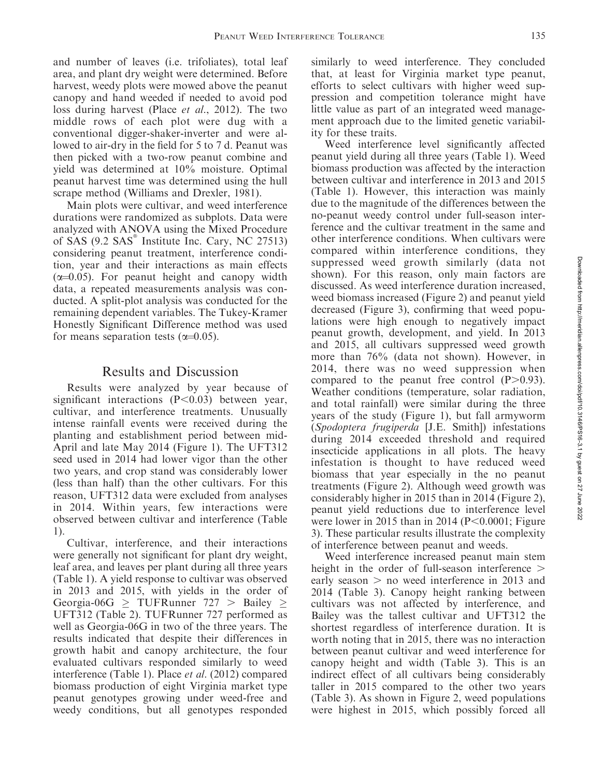and number of leaves (i.e. trifoliates), total leaf area, and plant dry weight were determined. Before harvest, weedy plots were mowed above the peanut canopy and hand weeded if needed to avoid pod loss during harvest (Place et al., 2012). The two middle rows of each plot were dug with a conventional digger-shaker-inverter and were allowed to air-dry in the field for 5 to 7 d. Peanut was then picked with a two-row peanut combine and yield was determined at 10% moisture. Optimal peanut harvest time was determined using the hull scrape method (Williams and Drexler, 1981).

Main plots were cultivar, and weed interference durations were randomized as subplots. Data were analyzed with ANOVA using the Mixed Procedure of SAS  $(9.2$  SAS $\degree$  Institute Inc. Cary, NC 27513) considering peanut treatment, interference condition, year and their interactions as main effects  $(\alpha=0.05)$ . For peanut height and canopy width data, a repeated measurements analysis was conducted. A split-plot analysis was conducted for the remaining dependent variables. The Tukey-Kramer Honestly Significant Difference method was used for means separation tests  $(\alpha=0.05)$ .

### Results and Discussion

Results were analyzed by year because of significant interactions  $(P<0.03)$  between year, cultivar, and interference treatments. Unusually intense rainfall events were received during the planting and establishment period between mid-April and late May 2014 (Figure 1). The UFT312 seed used in 2014 had lower vigor than the other two years, and crop stand was considerably lower (less than half) than the other cultivars. For this reason, UFT312 data were excluded from analyses in 2014. Within years, few interactions were observed between cultivar and interference (Table 1).

Cultivar, interference, and their interactions were generally not significant for plant dry weight, leaf area, and leaves per plant during all three years (Table 1). A yield response to cultivar was observed in 2013 and 2015, with yields in the order of Georgia-06G  $\geq$  TUFRunner 727  $>$  Bailey  $\geq$ UFT312 (Table 2). TUFRunner 727 performed as well as Georgia-06G in two of the three years. The results indicated that despite their differences in growth habit and canopy architecture, the four evaluated cultivars responded similarly to weed interference (Table 1). Place et al. (2012) compared biomass production of eight Virginia market type peanut genotypes growing under weed-free and weedy conditions, but all genotypes responded similarly to weed interference. They concluded that, at least for Virginia market type peanut, efforts to select cultivars with higher weed suppression and competition tolerance might have little value as part of an integrated weed management approach due to the limited genetic variability for these traits.

Weed interference level significantly affected peanut yield during all three years (Table 1). Weed biomass production was affected by the interaction between cultivar and interference in 2013 and 2015 (Table 1). However, this interaction was mainly due to the magnitude of the differences between the no-peanut weedy control under full-season interference and the cultivar treatment in the same and other interference conditions. When cultivars were compared within interference conditions, they suppressed weed growth similarly (data not shown). For this reason, only main factors are discussed. As weed interference duration increased, weed biomass increased (Figure 2) and peanut yield decreased (Figure 3), confirming that weed populations were high enough to negatively impact peanut growth, development, and yield. In 2013 and 2015, all cultivars suppressed weed growth more than 76% (data not shown). However, in 2014, there was no weed suppression when compared to the peanut free control  $(P>0.93)$ . Weather conditions (temperature, solar radiation, and total rainfall) were similar during the three years of the study (Figure 1), but fall armyworm (Spodoptera frugiperda [J.E. Smith]) infestations during 2014 exceeded threshold and required insecticide applications in all plots. The heavy infestation is thought to have reduced weed biomass that year especially in the no peanut treatments (Figure 2). Although weed growth was considerably higher in 2015 than in 2014 (Figure 2), peanut yield reductions due to interference level were lower in 2015 than in 2014 ( $P<0.0001$ ; Figure 3). These particular results illustrate the complexity of interference between peanut and weeds.

Weed interference increased peanut main stem height in the order of full-season interference  $\geq$ early season  $>$  no weed interference in 2013 and 2014 (Table 3). Canopy height ranking between cultivars was not affected by interference, and Bailey was the tallest cultivar and UFT312 the shortest regardless of interference duration. It is worth noting that in 2015, there was no interaction between peanut cultivar and weed interference for canopy height and width (Table 3). This is an indirect effect of all cultivars being considerably taller in 2015 compared to the other two years (Table 3). As shown in Figure 2, weed populations were highest in 2015, which possibly forced all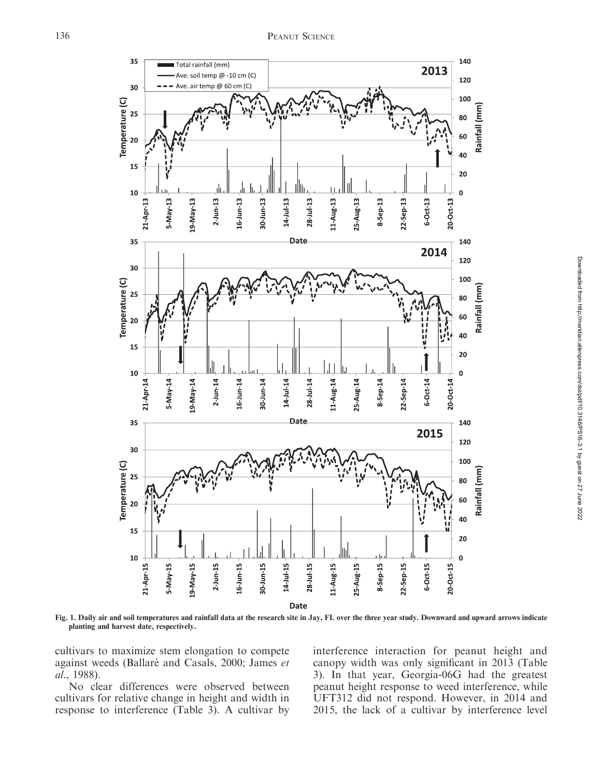

Fig. 1. Daily air and soil temperatures and rainfall data at the research site in Jay, FL over the three year study. Downward and upward arrows indicate planting and harvest date, respectively.

cultivars to maximize stem elongation to compete against weeds (Ballaré and Casals, 2000; James et al., 1988).

No clear differences were observed between cultivars for relative change in height and width in response to interference (Table 3). A cultivar by interference interaction for peanut height and canopy width was only significant in 2013 (Table 3). In that year, Georgia-06G had the greatest peanut height response to weed interference, while UFT312 did not respond. However, in 2014 and 2015, the lack of a cultivar by interference level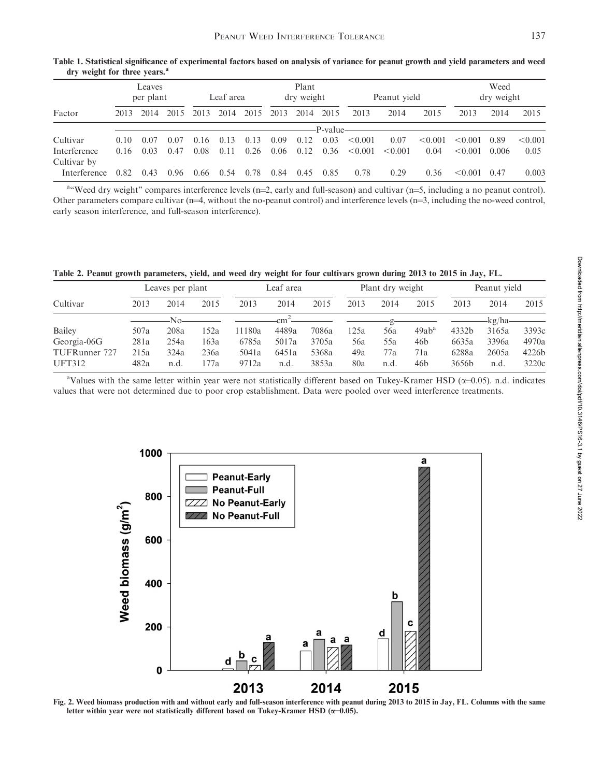| $\mathbf{u}$ , weight for three years. |      |                     |      |      |           |      |      |                     |          |              |         |         |                    |       |         |
|----------------------------------------|------|---------------------|------|------|-----------|------|------|---------------------|----------|--------------|---------|---------|--------------------|-------|---------|
|                                        |      | Leaves<br>per plant |      |      | Leaf area |      |      | Plant<br>dry weight |          | Peanut yield |         |         | Weed<br>dry weight |       |         |
| Factor                                 | 2013 | 2014                | 2015 | 2013 | 2014      | 2015 | 2013 | 2014                | 2015     | 2013         | 2014    | 2015    | 2013               | 2014  | 2015    |
|                                        |      |                     |      |      |           |      |      |                     | P-value- |              |         |         |                    |       |         |
| Cultivar                               | 0.10 | 0.07                | 0.07 | 0.16 | 0.13      | 0.13 | 0.09 | 0.12                | 0.03     | < 0.001      | 0.07    | < 0.001 | < 0.001            | 0.89  | < 0.001 |
| Interference                           | 0.16 | 0.03                | 0.47 | 0.08 | 0.11      | 0.26 | 0.06 | 0.12                | 0.36     | < 0.001      | < 0.001 | 0.04    | < 0.001            | 0.006 | 0.05    |
| Cultivar by                            |      |                     |      |      |           |      |      |                     |          |              |         |         |                    |       |         |
| Interference                           | 0.82 | 0.43                | 0.96 | 0.66 | (0.54)    | 0.78 | 0.84 | 0.45                | 0.85     | 0.78         | 0.29    | 0.36    | < 0.001            | 0.47  | 0.003   |

Table 1. Statistical significance of experimental factors based on analysis of variance for peanut growth and yield parameters and weed dry weight for three years.<sup>a</sup>

a "Weed dry weight" compares interference levels (n=2, early and full-season) and cultivar (n=5, including a no peanut control). Other parameters compare cultivar ( $n=4$ , without the no-peanut control) and interference levels ( $n=3$ , including the no-weed control, early season interference, and full-season interference).

Table 2. Peanut growth parameters, yield, and weed dry weight for four cultivars grown during 2013 to 2015 in Jay, FL.

|               |      | Leaves per plant |      |        | Leaf area       |       |      | Plant dry weight |          | Peanut vield |         |       |
|---------------|------|------------------|------|--------|-----------------|-------|------|------------------|----------|--------------|---------|-------|
| Cultivar      | 2013 | 2014             | 2015 | 2013   | 2014            | 2015  | 2013 | 2014             | 2015     | 2013         | 2014    | 2015  |
|               |      | No-              |      |        | cm <sup>-</sup> |       |      |                  |          |              | -kg/ha- |       |
| Bailey        | 507a | 208a             | 152a | 11180a | 4489a           | 7086a | 125a | 56a              | $49ab^a$ | 4332b        | 3165a   | 3393c |
| Georgia-06G   | 281a | 254a             | 163a | 6785a  | 5017a           | 3705a | 56a  | 55a              | 46b      | 6635a        | 3396a   | 4970a |
| TUFRunner 727 | 215a | 324a             | 236a | 5041a  | 6451a           | 5368a | 49a  | 77a              | 71a      | 6288a        | 2605a   | 4226b |
| <b>UFT312</b> | 482a | n.d.             | 177a | 9712a  | n.d.            | 3853a | 80a  | n.d.             | 46b      | 3656b        | n.d.    | 3220c |

aValues with the same letter within year were not statistically different based on Tukey-Kramer HSD (x=0.05). n.d. indicates values that were not determined due to poor crop establishment. Data were pooled over weed interference treatments.



Fig. 2. Weed biomass production with and without early and full-season interference with peanut during 2013 to 2015 in Jay, FL. Columns with the same letter within year were not statistically different based on Tukey-Kramer HSD ( $\alpha$ =0.05).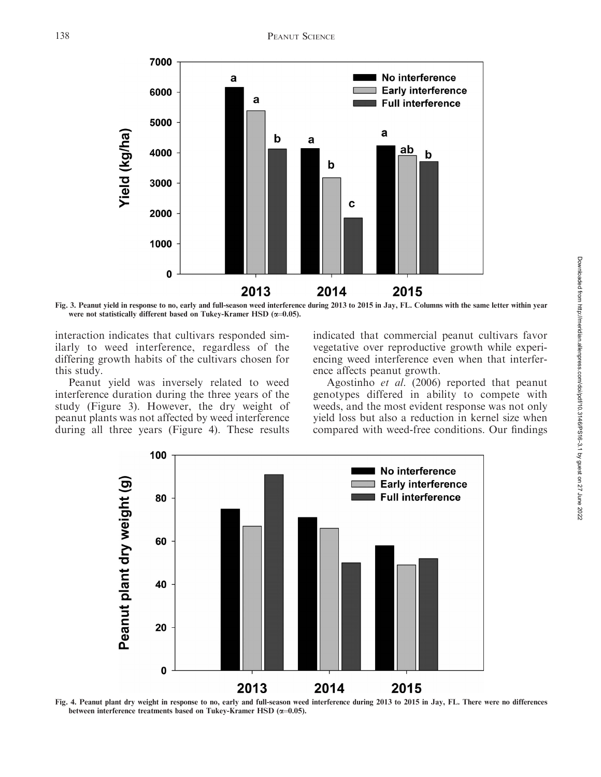

Fig. 3. Peanut yield in response to no, early and full-season weed interference during 2013 to 2015 in Jay, FL. Columns with the same letter within year were not statistically different based on Tukey-Kramer HSD ( $\alpha$ =0.05).

interaction indicates that cultivars responded similarly to weed interference, regardless of the differing growth habits of the cultivars chosen for this study.

Peanut yield was inversely related to weed interference duration during the three years of the study (Figure 3). However, the dry weight of peanut plants was not affected by weed interference during all three years (Figure 4). These results indicated that commercial peanut cultivars favor vegetative over reproductive growth while experiencing weed interference even when that interference affects peanut growth.

Agostinho et al. (2006) reported that peanut genotypes differed in ability to compete with weeds, and the most evident response was not only yield loss but also a reduction in kernel size when compared with weed-free conditions. Our findings



Fig. 4. Peanut plant dry weight in response to no, early and full-season weed interference during 2013 to 2015 in Jay, FL. There were no differences between interference treatments based on Tukey-Kramer HSD ( $\alpha$ =0.05).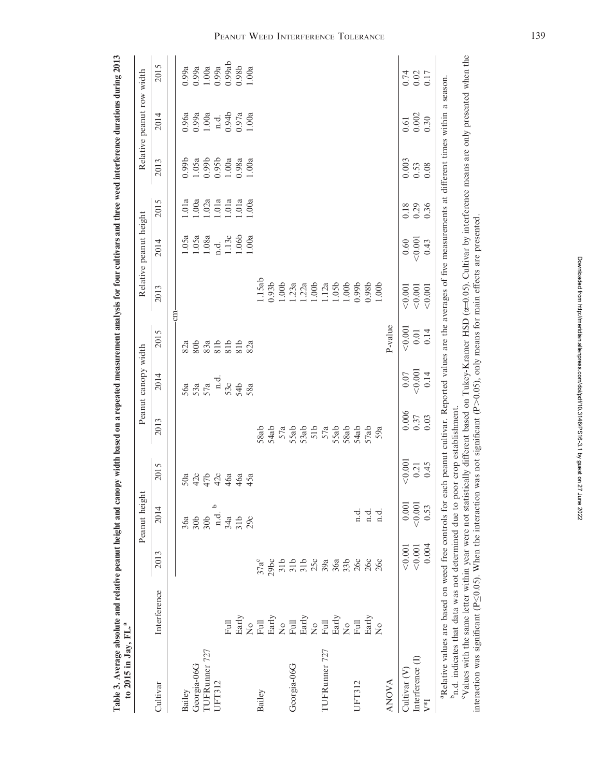| TUFRunner 727<br>Georgia-06G<br>Cultivar<br>Bailey |                                                                                                                                                                                                                            |                                                                              | Peanut height                                                                                             |         |                                            | Peanut canopy width |                                                                          |                    | Relative peanut height |                       |                    | Relative peanut row width |                                                                                                                                                                                                                                                                                                                                                                         |
|----------------------------------------------------|----------------------------------------------------------------------------------------------------------------------------------------------------------------------------------------------------------------------------|------------------------------------------------------------------------------|-----------------------------------------------------------------------------------------------------------|---------|--------------------------------------------|---------------------|--------------------------------------------------------------------------|--------------------|------------------------|-----------------------|--------------------|---------------------------|-------------------------------------------------------------------------------------------------------------------------------------------------------------------------------------------------------------------------------------------------------------------------------------------------------------------------------------------------------------------------|
|                                                    | Interference                                                                                                                                                                                                               | 2013                                                                         | 2014                                                                                                      | 2015    | 2013                                       | 2014                | 2015                                                                     | 2013               | 2014                   | 2015                  | 2013               | 2014                      | 2015                                                                                                                                                                                                                                                                                                                                                                    |
|                                                    |                                                                                                                                                                                                                            |                                                                              |                                                                                                           |         |                                            |                     |                                                                          | g                  |                        |                       |                    |                           |                                                                                                                                                                                                                                                                                                                                                                         |
|                                                    |                                                                                                                                                                                                                            |                                                                              | 36a                                                                                                       | 50a     |                                            | 56a                 | 82a                                                                      |                    | 1.05a                  | 1.01a                 | 0.99 <sub>b</sub>  |                           | 0.99a                                                                                                                                                                                                                                                                                                                                                                   |
|                                                    |                                                                                                                                                                                                                            |                                                                              | 30 <sub>b</sub>                                                                                           | 42c     |                                            | 53a                 | 80 <sub>b</sub>                                                          |                    | 1.05a                  | 00a                   | 1.05a              | 0.96a<br>0.99a<br>1.00a   | 0.99a                                                                                                                                                                                                                                                                                                                                                                   |
|                                                    |                                                                                                                                                                                                                            |                                                                              |                                                                                                           | 47b     |                                            | 57a                 | 83a                                                                      |                    | 1.08a                  | .02a                  | 0.99 <sub>b</sub>  |                           | 1.00a                                                                                                                                                                                                                                                                                                                                                                   |
| <b>UFT312</b>                                      |                                                                                                                                                                                                                            |                                                                              | م                                                                                                         | 42c     |                                            | n.d.                |                                                                          |                    | n.d.                   | .01a                  | 0.95 <sub>b</sub>  | n.d.                      | $0.99a$<br>$0.99ab$                                                                                                                                                                                                                                                                                                                                                     |
|                                                    | Full                                                                                                                                                                                                                       |                                                                              | $30b$ $1d$ $3d$ $3z$ $3z$ $3z$ $3z$ $3z$ $3z$ $3z$ $3z$ $3z$ $3z$ $3z$ $3z$ $3z$ $3z$ $3z$ $3z$ $3z$ $3<$ | 46a     |                                            | 53c                 | $\begin{array}{c}\n 215 \\  \hline\n 815 \\  \hline\n 815\n \end{array}$ |                    | 1.13c                  | $\frac{1.01a}{1.01a}$ | 1.00a              | 0.94b<br>0.97a<br>1.00a   |                                                                                                                                                                                                                                                                                                                                                                         |
|                                                    | $_{\rm{Early}}$                                                                                                                                                                                                            |                                                                              |                                                                                                           | 46a     |                                            | 54b                 |                                                                          |                    | 1.06b                  |                       | $0.98a$<br>$1.00a$ |                           | $0.98b$<br>1.00a                                                                                                                                                                                                                                                                                                                                                        |
|                                                    | $\frac{1}{2}$                                                                                                                                                                                                              |                                                                              |                                                                                                           | 45a     |                                            | 58a                 | 82a                                                                      |                    | 0.00a                  |                       |                    |                           |                                                                                                                                                                                                                                                                                                                                                                         |
| Bailey                                             | $_{\rm Full}$                                                                                                                                                                                                              | $37a^c$                                                                      |                                                                                                           |         | 58ab                                       |                     |                                                                          | 1.15ab             |                        |                       |                    |                           |                                                                                                                                                                                                                                                                                                                                                                         |
|                                                    |                                                                                                                                                                                                                            |                                                                              |                                                                                                           |         | 54ab                                       |                     |                                                                          | 0.93 <sub>b</sub>  |                        |                       |                    |                           |                                                                                                                                                                                                                                                                                                                                                                         |
|                                                    |                                                                                                                                                                                                                            |                                                                              |                                                                                                           |         |                                            |                     |                                                                          | 1.00 <sub>b</sub>  |                        |                       |                    |                           |                                                                                                                                                                                                                                                                                                                                                                         |
| Georgia-06G                                        |                                                                                                                                                                                                                            |                                                                              |                                                                                                           |         |                                            |                     |                                                                          | 1.23a              |                        |                       |                    |                           |                                                                                                                                                                                                                                                                                                                                                                         |
|                                                    | $\begin{array}{l} \mathrm{Early} \\ \mathrm{Neul} \\ \mathrm{Full} \\ \mathrm{Bary} \\ \mathrm{Neul} \\ \mathrm{Full} \\ \end{array}$                                                                                      |                                                                              |                                                                                                           |         | $57a$<br>$55ab$<br>$51b$<br>$57a$<br>$57a$ |                     |                                                                          | $1.22a$<br>$1.00b$ |                        |                       |                    |                           |                                                                                                                                                                                                                                                                                                                                                                         |
|                                                    |                                                                                                                                                                                                                            |                                                                              |                                                                                                           |         |                                            |                     |                                                                          |                    |                        |                       |                    |                           |                                                                                                                                                                                                                                                                                                                                                                         |
| TUFRunner 727                                      |                                                                                                                                                                                                                            |                                                                              |                                                                                                           |         |                                            |                     |                                                                          | 1.12a              |                        |                       |                    |                           |                                                                                                                                                                                                                                                                                                                                                                         |
|                                                    |                                                                                                                                                                                                                            |                                                                              |                                                                                                           |         |                                            |                     |                                                                          | 1.05 <sub>b</sub>  |                        |                       |                    |                           |                                                                                                                                                                                                                                                                                                                                                                         |
|                                                    |                                                                                                                                                                                                                            |                                                                              |                                                                                                           |         | 58ab                                       |                     |                                                                          | 1.00 <sub>b</sub>  |                        |                       |                    |                           |                                                                                                                                                                                                                                                                                                                                                                         |
| JFT312                                             | ${\rm Early\atop Nol}$ Full                                                                                                                                                                                                | 2010<br>2010<br>2010<br>2010<br>2010<br>2010<br>2010<br>2010<br>2010<br>2010 | $\vec{a}$                                                                                                 |         | 54ab                                       |                     |                                                                          | 0.99 <sub>b</sub>  |                        |                       |                    |                           |                                                                                                                                                                                                                                                                                                                                                                         |
|                                                    | Early                                                                                                                                                                                                                      | 26c                                                                          | n.d.                                                                                                      |         | 57ab                                       |                     |                                                                          | 0.98 <sub>b</sub>  |                        |                       |                    |                           |                                                                                                                                                                                                                                                                                                                                                                         |
|                                                    | $\frac{1}{2}$                                                                                                                                                                                                              |                                                                              | n.d                                                                                                       |         | 59a                                        |                     |                                                                          | 1.00 <sub>b</sub>  |                        |                       |                    |                           |                                                                                                                                                                                                                                                                                                                                                                         |
| <b>ANOVA</b>                                       |                                                                                                                                                                                                                            |                                                                              |                                                                                                           |         |                                            |                     | P-value                                                                  |                    |                        |                       |                    |                           |                                                                                                                                                                                                                                                                                                                                                                         |
| Cultivar <sub>(V)</sub>                            |                                                                                                                                                                                                                            | < 0.001                                                                      | $0.001\,$                                                                                                 | < 0.001 | 0.006                                      |                     | < 0.001                                                                  | < 0.001            |                        | 0.18                  | 0.003              |                           |                                                                                                                                                                                                                                                                                                                                                                         |
|                                                    |                                                                                                                                                                                                                            |                                                                              |                                                                                                           | 0.21    |                                            |                     |                                                                          |                    |                        |                       |                    |                           | $0.74$<br>$0.02$                                                                                                                                                                                                                                                                                                                                                        |
|                                                    |                                                                                                                                                                                                                            | 0.004                                                                        | 0.53                                                                                                      | 0.45    | 0.03                                       | 0.14                |                                                                          | < 0.001            | 0.43                   | 0.36                  | 0.08               | 0.30                      | 0.17                                                                                                                                                                                                                                                                                                                                                                    |
|                                                    |                                                                                                                                                                                                                            |                                                                              |                                                                                                           |         |                                            |                     |                                                                          |                    |                        |                       |                    |                           |                                                                                                                                                                                                                                                                                                                                                                         |
|                                                    |                                                                                                                                                                                                                            |                                                                              |                                                                                                           |         |                                            |                     |                                                                          |                    |                        |                       |                    |                           |                                                                                                                                                                                                                                                                                                                                                                         |
|                                                    |                                                                                                                                                                                                                            |                                                                              |                                                                                                           |         |                                            |                     |                                                                          |                    |                        |                       |                    |                           |                                                                                                                                                                                                                                                                                                                                                                         |
| Interference (I)                                   | interaction was significant ( $P \le 0.05$ ). When the interaction was not significant ( $P > 0.05$ ), only means for main effects are presented<br>Indicates that data was not determined due to poor crop establishment. | < 0.001                                                                      | < 0.001                                                                                                   |         | 0.37                                       | $0.07$ $<$ $0.001$  | $0.01\,$<br>0.14                                                         | < 0.001            | $\frac{0.60}{0.001}$   |                       | 0.29               | 0.53                      | Values with the same letter within year were not statistically different based on Tukey-Kramer HSD (a=0.05). Cultivar by interference means are only presented when the<br>aRelative values are based on weed free controls for each peanut cultivar. Reported values are the averages of five measurements at different times within a season.<br>$\frac{0.61}{0.002}$ |

Downloaded from http://meridian.allenpress.com/doi/pdf/10.3146/PS16-3.1 by guest on 27 June 2022 Downloaded from http://meridian.allenpress.com/doi/pdf/10.3146/PS16-3.1 by guest on 27 June 2022